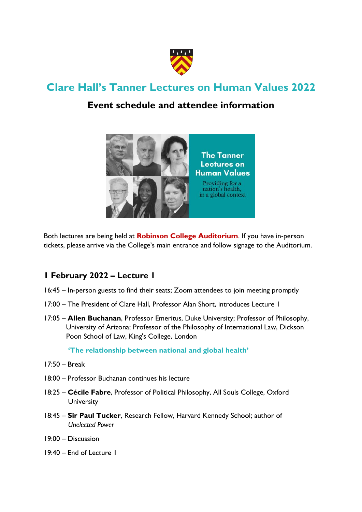

# **Clare Hall's Tanner Lectures on Human Values 2022**

# **Event schedule and attendee information**



Both lectures are being held at **[Robinson College Auditorium](https://goo.gl/maps/AREBQeEo5Y2jJQ4x7)**. If you have in-person tickets, please arrive via the College's main entrance and follow signage to the Auditorium.

# **1 February 2022 – Lecture 1**

- 16:45 In-person guests to find their seats; Zoom attendees to join meeting promptly
- 17:00 The President of Clare Hall, Professor Alan Short, introduces Lecture 1
- 17:05 **Allen Buchanan**, Professor Emeritus, Duke University; Professor of Philosophy, University of Arizona; Professor of the Philosophy of International Law, Dickson Poon School of Law, King's College, London

 **'The relationship between national and global health'**

- 17:50 Break
- 18:00 Professor Buchanan continues his lecture
- 18:25 **Cécile Fabre**, Professor of Political Philosophy, All Souls College, Oxford **University**
- 18:45 **Sir Paul Tucker**, Research Fellow, Harvard Kennedy School; author of *Unelected Power*
- 19:00 Discussion
- 19:40 End of Lecture 1